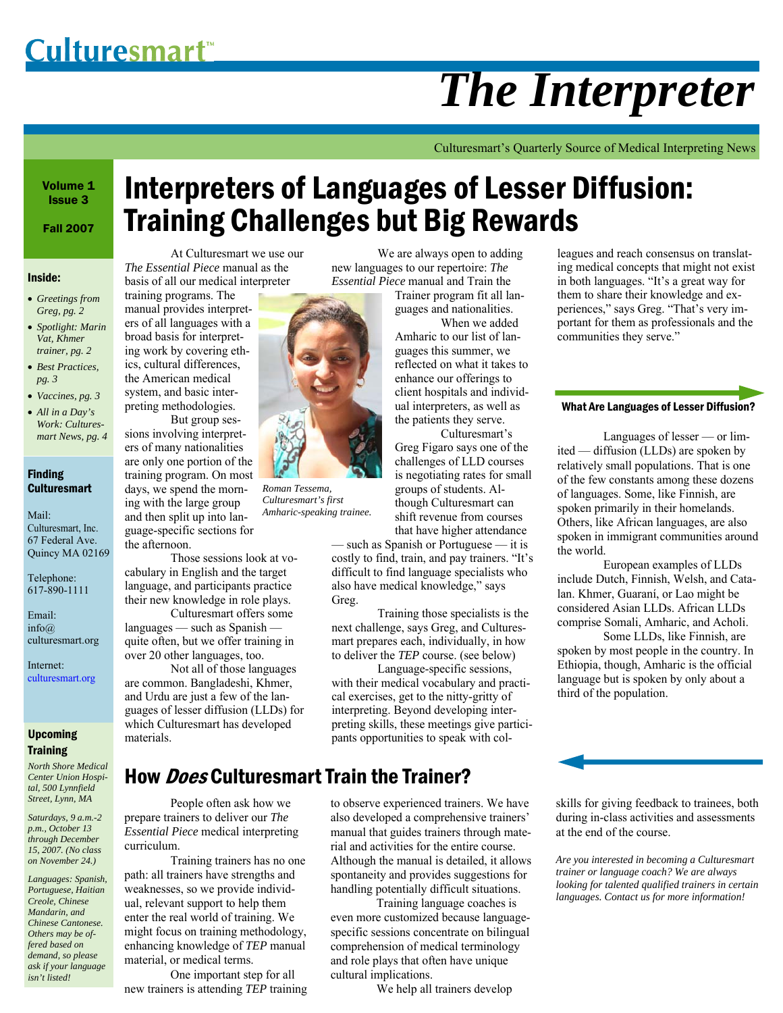# *The Interpreter*

Culturesmart's Quarterly Source of Medical Interpreting News

Volume 1 Issue 3

Fall 2007

#### Inside:

• *Greetings from Greg, pg. 2* 

• *Spotlight: Marin Vat, Khmer trainer, pg. 2* 

- *Best Practices, pg. 3*
- *Vaccines, pg. 3*
- *All in a Day's Work: Culturesmart News, pg. 4*

#### Finding **Culturesmart**

Mail: Culturesmart, Inc. 67 Federal Ave. Quincy MA 02169

Telephone: 617-890-1111

Email: info@ culturesmart.org

Internet: culturesmart.org

#### Upcoming **Training**

*North Shore Medical Center Union Hospital, 500 Lynnfield Street, Lynn, MA* 

*Saturdays, 9 a.m.-2 p.m., October 13 through December 15, 2007. (No class on November 24.)* 

*Languages: Spanish, Portuguese, Haitian Creole, Chinese Mandarin, and Chinese Cantonese. Others may be offered based on demand, so please ask if your language isn't listed!* 

# Interpreters of Languages of Lesser Diffusion: Training Challenges but Big Rewards

 At Culturesmart we use our *The Essential Piece* manual as the basis of all our medical interpreter

training programs. The manual provides interpreters of all languages with a broad basis for interpreting work by covering ethics, cultural differences, the American medical system, and basic interpreting methodologies.

 But group sessions involving interpreters of many nationalities are only one portion of the training program. On most days, we spend the morning with the large group and then split up into language-specific sections for the afternoon.

 Those sessions look at vocabulary in English and the target language, and participants practice their new knowledge in role plays.

 Culturesmart offers some languages — such as Spanish quite often, but we offer training in over 20 other languages, too.

 Not all of those languages are common. Bangladeshi, Khmer, and Urdu are just a few of the languages of lesser diffusion (LLDs) for which Culturesmart has developed materials.

*Roman Tessema, Culturesmart's first Amharic-speaking trainee.* 

 We are always open to adding new languages to our repertoire: *The Essential Piece* manual and Train the Trainer program fit all lan-

guages and nationalities.

 When we added Amharic to our list of languages this summer, we reflected on what it takes to enhance our offerings to client hospitals and individual interpreters, as well as the patients they serve.

 Culturesmart's Greg Figaro says one of the challenges of LLD courses is negotiating rates for small groups of students. Although Culturesmart can shift revenue from courses that have higher attendance

— such as Spanish or Portuguese — it is costly to find, train, and pay trainers. "It's difficult to find language specialists who also have medical knowledge," says Greg.

 Training those specialists is the next challenge, says Greg, and Culturesmart prepares each, individually, in how to deliver the *TEP* course. (see below)

 Language-specific sessions, with their medical vocabulary and practical exercises, get to the nitty-gritty of interpreting. Beyond developing interpreting skills, these meetings give participants opportunities to speak with col-

spontaneity and provides suggestions for handling potentially difficult situations. Training language coaches is even more customized because languagespecific sessions concentrate on bilingual comprehension of medical terminology and role plays that often have unique

We help all trainers develop

cultural implications.

# How *Does* Culturesmart Train the Trainer?

 People often ask how we prepare trainers to deliver our *The Essential Piece* medical interpreting curriculum.

 Training trainers has no one path: all trainers have strengths and weaknesses, so we provide individual, relevant support to help them enter the real world of training. We might focus on training methodology, enhancing knowledge of *TEP* manual material, or medical terms.

 One important step for all new trainers is attending *TEP* training to observe experienced trainers. We have also developed a comprehensive trainers' manual that guides trainers through material and activities for the entire course. Although the manual is detailed, it allows at the end of the course.

*Are you interested in becoming a Culturesmart trainer or language coach? We are always looking for talented qualified trainers in certain languages. Contact us for more information!* 

skills for giving feedback to trainees, both during in-class activities and assessments

them to share their knowledge and experiences," says Greg. "That's very important for them as professionals and the communities they serve."

#### What Are Languages of Lesser Diffusion?

leagues and reach consensus on translating medical concepts that might not exist in both languages. "It's a great way for

 Languages of lesser — or limited — diffusion (LLDs) are spoken by relatively small populations. That is one of the few constants among these dozens of languages. Some, like Finnish, are spoken primarily in their homelands. Others, like African languages, are also spoken in immigrant communities around the world.

 European examples of LLDs include Dutch, Finnish, Welsh, and Catalan. Khmer, Guaraní, or Lao might be considered Asian LLDs. African LLDs comprise Somali, Amharic, and Acholi.

 Some LLDs, like Finnish, are spoken by most people in the country. In Ethiopia, though, Amharic is the official language but is spoken by only about a third of the population.

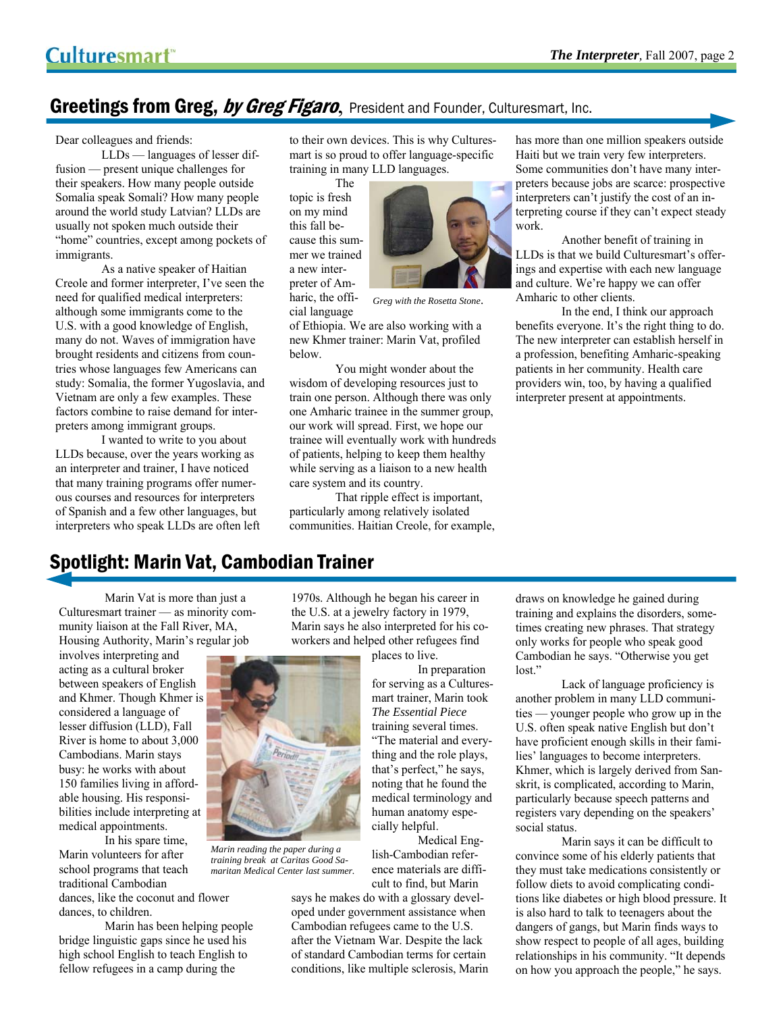## Greetings from Greg, by Greg Figaro, President and Founder, Culturesmart, Inc.

Dear colleagues and friends:

 LLDs — languages of lesser diffusion — present unique challenges for their speakers. How many people outside Somalia speak Somali? How many people around the world study Latvian? LLDs are usually not spoken much outside their "home" countries, except among pockets of immigrants.

 As a native speaker of Haitian Creole and former interpreter, I've seen the need for qualified medical interpreters: although some immigrants come to the U.S. with a good knowledge of English, many do not. Waves of immigration have brought residents and citizens from countries whose languages few Americans can study: Somalia, the former Yugoslavia, and Vietnam are only a few examples. These factors combine to raise demand for interpreters among immigrant groups.

 I wanted to write to you about LLDs because, over the years working as an interpreter and trainer, I have noticed that many training programs offer numerous courses and resources for interpreters of Spanish and a few other languages, but interpreters who speak LLDs are often left to their own devices. This is why Culturesmart is so proud to offer language-specific training in many LLD languages.

 The topic is fresh on my mind this fall because this summer we trained a new interpreter of Amharic, the official language



*Greg with the Rosetta Stone*.

of Ethiopia. We are also working with a new Khmer trainer: Marin Vat, profiled below.

 You might wonder about the wisdom of developing resources just to train one person. Although there was only one Amharic trainee in the summer group, our work will spread. First, we hope our trainee will eventually work with hundreds of patients, helping to keep them healthy while serving as a liaison to a new health care system and its country.

 That ripple effect is important, particularly among relatively isolated communities. Haitian Creole, for example,

has more than one million speakers outside Haiti but we train very few interpreters. Some communities don't have many interpreters because jobs are scarce: prospective interpreters can't justify the cost of an interpreting course if they can't expect steady work.

 Another benefit of training in LLDs is that we build Culturesmart's offerings and expertise with each new language and culture. We're happy we can offer Amharic to other clients.

 In the end, I think our approach benefits everyone. It's the right thing to do. The new interpreter can establish herself in a profession, benefiting Amharic-speaking patients in her community. Health care providers win, too, by having a qualified interpreter present at appointments.

# Spotlight: Marin Vat, Cambodian Trainer

 Marin Vat is more than just a Culturesmart trainer — as minority community liaison at the Fall River, MA, Housing Authority, Marin's regular job

involves interpreting and acting as a cultural broker between speakers of English and Khmer. Though Khmer is considered a language of lesser diffusion (LLD), Fall River is home to about 3,000 Cambodians. Marin stays busy: he works with about 150 families living in affordable housing. His responsibilities include interpreting at medical appointments.

 In his spare time, Marin volunteers for after school programs that teach traditional Cambodian dances, like the coconut and flower dances, to children.

 Marin has been helping people bridge linguistic gaps since he used his high school English to teach English to fellow refugees in a camp during the

1970s. Although he began his career in the U.S. at a jewelry factory in 1979, Marin says he also interpreted for his coworkers and helped other refugees find



*Marin reading the paper during a training break at Caritas Good Samaritan Medical Center last summer.*

places to live.

 In preparation for serving as a Culturesmart trainer, Marin took *The Essential Piece*  training several times. "The material and everything and the role plays, that's perfect," he says, noting that he found the medical terminology and human anatomy especially helpful.

 Medical English-Cambodian reference materials are difficult to find, but Marin

says he makes do with a glossary developed under government assistance when Cambodian refugees came to the U.S. after the Vietnam War. Despite the lack of standard Cambodian terms for certain conditions, like multiple sclerosis, Marin

draws on knowledge he gained during training and explains the disorders, sometimes creating new phrases. That strategy only works for people who speak good Cambodian he says. "Otherwise you get lost."

 Lack of language proficiency is another problem in many LLD communities — younger people who grow up in the U.S. often speak native English but don't have proficient enough skills in their families' languages to become interpreters. Khmer, which is largely derived from Sanskrit, is complicated, according to Marin, particularly because speech patterns and registers vary depending on the speakers' social status.

 Marin says it can be difficult to convince some of his elderly patients that they must take medications consistently or follow diets to avoid complicating conditions like diabetes or high blood pressure. It is also hard to talk to teenagers about the dangers of gangs, but Marin finds ways to show respect to people of all ages, building relationships in his community. "It depends on how you approach the people," he says.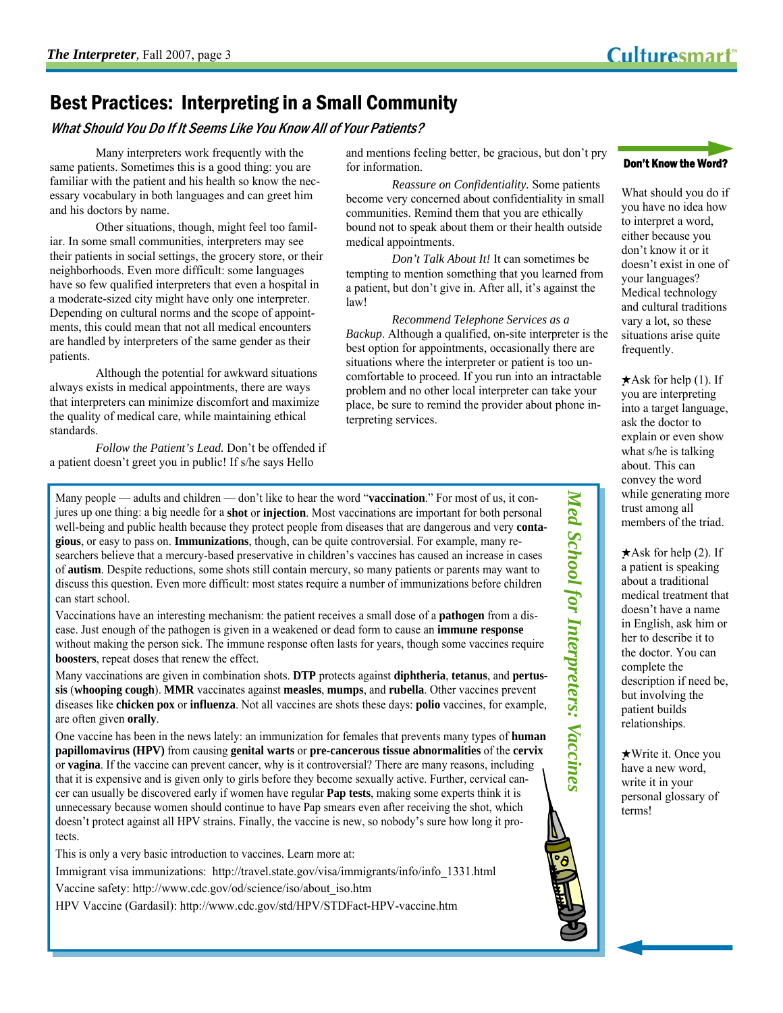# Best Practices: Interpreting in a Small Community

What Should You Do If It Seems Like You Know All of Your Patients?

 Many interpreters work frequently with the same patients. Sometimes this is a good thing: you are familiar with the patient and his health so know the necessary vocabulary in both languages and can greet him and his doctors by name.

 Other situations, though, might feel too familiar. In some small communities, interpreters may see their patients in social settings, the grocery store, or their neighborhoods. Even more difficult: some languages have so few qualified interpreters that even a hospital in a moderate-sized city might have only one interpreter. Depending on cultural norms and the scope of appointments, this could mean that not all medical encounters are handled by interpreters of the same gender as their patients.

 Although the potential for awkward situations always exists in medical appointments, there are ways that interpreters can minimize discomfort and maximize the quality of medical care, while maintaining ethical standards.

*Follow the Patient's Lead.* Don't be offended if a patient doesn't greet you in public! If s/he says Hello

and mentions feeling better, be gracious, but don't pry for information.

*Reassure on Confidentiality.* Some patients become very concerned about confidentiality in small communities. Remind them that you are ethically bound not to speak about them or their health outside medical appointments.

*Don't Talk About It!* It can sometimes be tempting to mention something that you learned from a patient, but don't give in. After all, it's against the law!

*Recommend Telephone Services as a Backup*. Although a qualified, on-site interpreter is the best option for appointments, occasionally there are situations where the interpreter or patient is too uncomfortable to proceed. If you run into an intractable problem and no other local interpreter can take your place, be sure to remind the provider about phone interpreting services.

Many people — adults and children — don't like to hear the word "**vaccination**." For most of us, it conjures up one thing: a big needle for a **shot** or **injection**. Most vaccinations are important for both personal well-being and public health because they protect people from diseases that are dangerous and very **contagious**, or easy to pass on. **Immunizations**, though, can be quite controversial. For example, many researchers believe that a mercury-based preservative in children's vaccines has caused an increase in cases of **autism**. Despite reductions, some shots still contain mercury, so many patients or parents may want to discuss this question. Even more difficult: most states require a number of immunizations before children can start school.

Vaccinations have an interesting mechanism: the patient receives a small dose of a **pathogen** from a disease. Just enough of the pathogen is given in a weakened or dead form to cause an **immune response** without making the person sick. The immune response often lasts for years, though some vaccines require **boosters**, repeat doses that renew the effect.

Many vaccinations are given in combination shots. **DTP** protects against **diphtheria**, **tetanus**, and **pertussis** (**whooping cough**). **MMR** vaccinates against **measles**, **mumps**, and **rubella**. Other vaccines prevent diseases like **chicken pox** or **influenza**. Not all vaccines are shots these days: **polio** vaccines, for example, are often given **orally**.

One vaccine has been in the news lately: an immunization for females that prevents many types of **human papillomavirus (HPV)** from causing **genital warts** or **pre-cancerous tissue abnormalities** of the **cervix** or **vagina**. If the vaccine can prevent cancer, why is it controversial? There are many reasons, including that it is expensive and is given only to girls before they become sexually active. Further, cervical cancer can usually be discovered early if women have regular **Pap tests**, making some experts think it is unnecessary because women should continue to have Pap smears even after receiving the shot, which doesn't protect against all HPV strains. Finally, the vaccine is new, so nobody's sure how long it protects.

This is only a very basic introduction to vaccines. Learn more at:

Immigrant visa immunizations: http://travel.state.gov/visa/immigrants/info/info\_1331.html

Vaccine safety: http://www.cdc.gov/od/science/iso/about\_iso.htm

HPV Vaccine (Gardasil): http://www.cdc.gov/std/HPV/STDFact-HPV-vaccine.htm



What should you do if you have no idea how to interpret a word, either because you don't know it or it doesn't exist in one of your languages? Medical technology and cultural traditions vary a lot, so these situations arise quite frequently.

 $\star$ Ask for help (1). If you are interpreting into a target language, ask the doctor to explain or even show what s/he is talking about. This can convey the word while generating more trust among all members of the triad.

 $\star$ Ask for help (2). If a patient is speaking about a traditional medical treatment that doesn't have a name in English, ask him or her to describe it to the doctor. You can complete the description if need be, but involving the patient builds relationships.

*Med School for Interpreters: Vaccines* 

Med School for Interpreters: Vaccines

★Write it. Once you have a new word, write it in your personal glossary of terms!